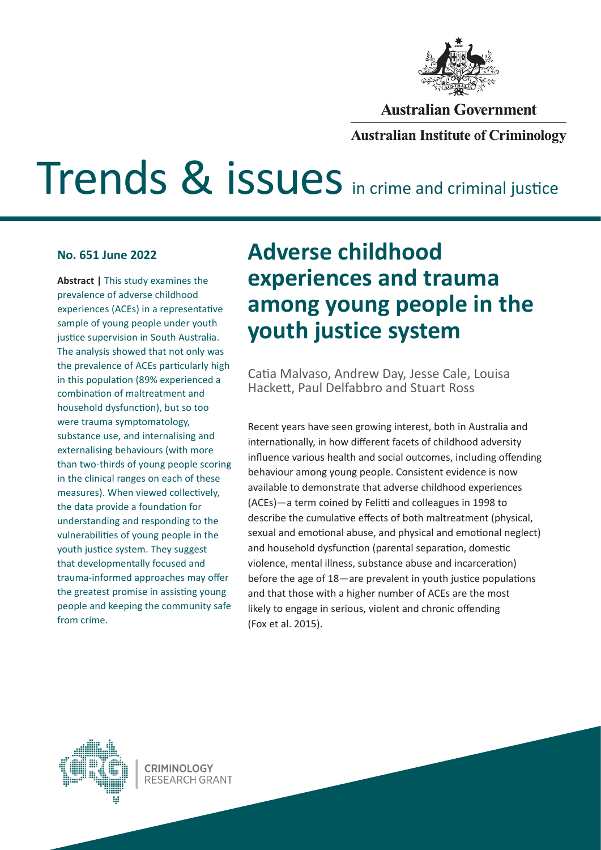

#### **Australian Government**

### **Australian Institute of Criminology**

# Trends & issues in crime and criminal justice

#### **No. 651 June 2022**

**Abstract |** This study examines the prevalence of adverse childhood experiences (ACEs) in a representative sample of young people under youth justice supervision in South Australia. The analysis showed that not only was the prevalence of ACEs particularly high in this population (89% experienced a combination of maltreatment and household dysfunction), but so too were trauma symptomatology, substance use, and internalising and externalising behaviours (with more than two-thirds of young people scoring in the clinical ranges on each of these measures). When viewed collectively, the data provide a foundation for understanding and responding to the vulnerabilities of young people in the youth justice system. They suggest that developmentally focused and trauma‑informed approaches may offer the greatest promise in assisting young people and keeping the community safe from crime.

# **Adverse childhood experiences and trauma among young people in the youth justice system**

Catia Malvaso, Andrew Day, Jesse Cale, Louisa Hackett, Paul Delfabbro and Stuart Ross

Recent years have seen growing interest, both in Australia and internationally, in how different facets of childhood adversity influence various health and social outcomes, including offending behaviour among young people. Consistent evidence is now available to demonstrate that adverse childhood experiences (ACEs)—a term coined by Felitti and colleagues in 1998 to describe the cumulative effects of both maltreatment (physical, sexual and emotional abuse, and physical and emotional neglect) and household dysfunction (parental separation, domestic violence, mental illness, substance abuse and incarceration) before the age of 18—are prevalent in youth justice populations and that those with a higher number of ACEs are the most likely to engage in serious, violent and chronic offending (Fox et al. 2015).

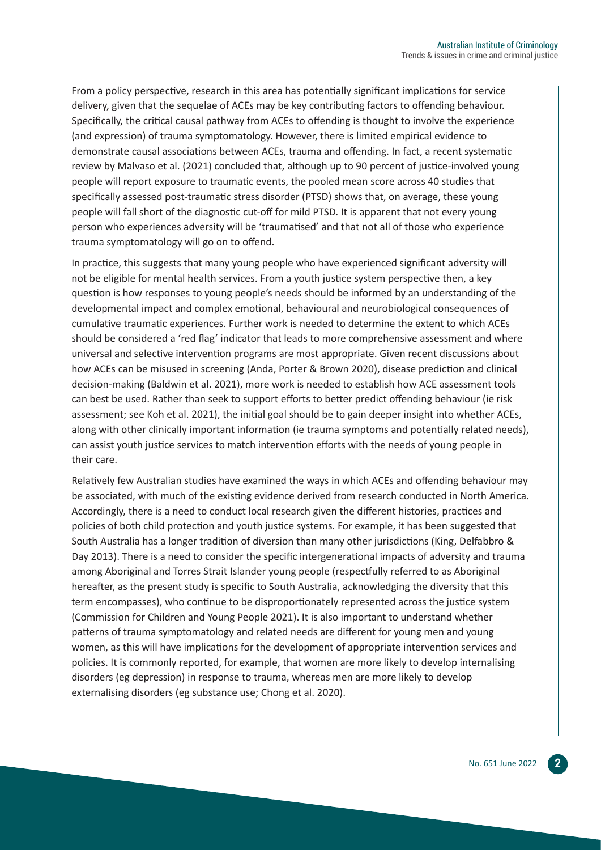From a policy perspective, research in this area has potentially significant implications for service delivery, given that the sequelae of ACEs may be key contributing factors to offending behaviour. Specifically, the critical causal pathway from ACEs to offending is thought to involve the experience (and expression) of trauma symptomatology. However, there is limited empirical evidence to demonstrate causal associations between ACEs, trauma and offending. In fact, a recent systematic review by Malvaso et al. (2021) concluded that, although up to 90 percent of justice-involved young people will report exposure to traumatic events, the pooled mean score across 40 studies that specifically assessed post-traumatic stress disorder (PTSD) shows that, on average, these young people will fall short of the diagnostic cut-off for mild PTSD. It is apparent that not every young person who experiences adversity will be 'traumatised' and that not all of those who experience trauma symptomatology will go on to offend.

In practice, this suggests that many young people who have experienced significant adversity will not be eligible for mental health services. From a youth justice system perspective then, a key question is how responses to young people's needs should be informed by an understanding of the developmental impact and complex emotional, behavioural and neurobiological consequences of cumulative traumatic experiences. Further work is needed to determine the extent to which ACEs should be considered a 'red flag' indicator that leads to more comprehensive assessment and where universal and selective intervention programs are most appropriate. Given recent discussions about how ACEs can be misused in screening (Anda, Porter & Brown 2020), disease prediction and clinical decision-making (Baldwin et al. 2021), more work is needed to establish how ACE assessment tools can best be used. Rather than seek to support efforts to better predict offending behaviour (ie risk assessment; see Koh et al. 2021), the initial goal should be to gain deeper insight into whether ACEs, along with other clinically important information (ie trauma symptoms and potentially related needs), can assist youth justice services to match intervention efforts with the needs of young people in their care.

Relatively few Australian studies have examined the ways in which ACEs and offending behaviour may be associated, with much of the existing evidence derived from research conducted in North America. Accordingly, there is a need to conduct local research given the different histories, practices and policies of both child protection and youth justice systems. For example, it has been suggested that South Australia has a longer tradition of diversion than many other jurisdictions (King, Delfabbro & Day 2013). There is a need to consider the specific intergenerational impacts of adversity and trauma among Aboriginal and Torres Strait Islander young people (respectfully referred to as Aboriginal hereafter, as the present study is specific to South Australia, acknowledging the diversity that this term encompasses), who continue to be disproportionately represented across the justice system (Commission for Children and Young People 2021). It is also important to understand whether patterns of trauma symptomatology and related needs are different for young men and young women, as this will have implications for the development of appropriate intervention services and policies. It is commonly reported, for example, that women are more likely to develop internalising disorders (eg depression) in response to trauma, whereas men are more likely to develop externalising disorders (eg substance use; Chong et al. 2020).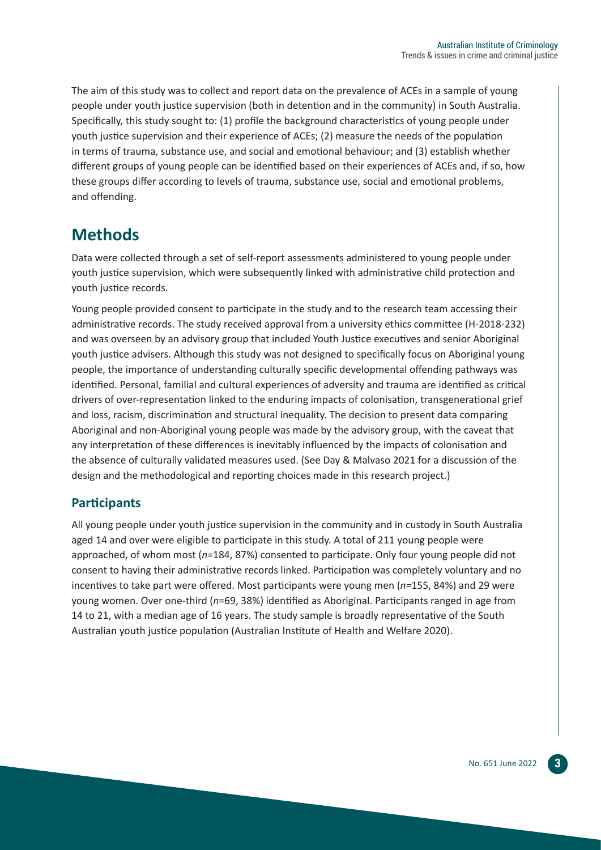The aim of this study was to collect and report data on the prevalence of ACEs in a sample of young people under youth justice supervision (both in detention and in the community) in South Australia. Specifically, this study sought to: (1) profile the background characteristics of young people under youth justice supervision and their experience of ACEs; (2) measure the needs of the population in terms of trauma, substance use, and social and emotional behaviour; and (3) establish whether different groups of young people can be identified based on their experiences of ACEs and, if so, how these groups differ according to levels of trauma, substance use, social and emotional problems, and offending.

# **Methods**

Data were collected through a set of self-report assessments administered to young people under youth justice supervision, which were subsequently linked with administrative child protection and youth justice records.

Young people provided consent to participate in the study and to the research team accessing their administrative records. The study received approval from a university ethics committee (H-2018-232) and was overseen by an advisory group that included Youth Justice executives and senior Aboriginal youth justice advisers. Although this study was not designed to specifically focus on Aboriginal young people, the importance of understanding culturally specific developmental offending pathways was identified. Personal, familial and cultural experiences of adversity and trauma are identified as critical drivers of over-representation linked to the enduring impacts of colonisation, transgenerational grief and loss, racism, discrimination and structural inequality. The decision to present data comparing Aboriginal and non-Aboriginal young people was made by the advisory group, with the caveat that any interpretation of these differences is inevitably influenced by the impacts of colonisation and the absence of culturally validated measures used. (See Day & Malvaso 2021 for a discussion of the design and the methodological and reporting choices made in this research project.)

#### **Participants**

All young people under youth justice supervision in the community and in custody in South Australia aged 14 and over were eligible to participate in this study. A total of 211 young people were approached, of whom most (*n*=184, 87%) consented to participate. Only four young people did not consent to having their administrative records linked. Participation was completely voluntary and no incentives to take part were offered. Most participants were young men (*n=*155, 84%) and 29 were young women. Over one-third (*n*=69, 38%) identified as Aboriginal. Participants ranged in age from 14 to 21, with a median age of 16 years. The study sample is broadly representative of the South Australian youth justice population (Australian Institute of Health and Welfare 2020).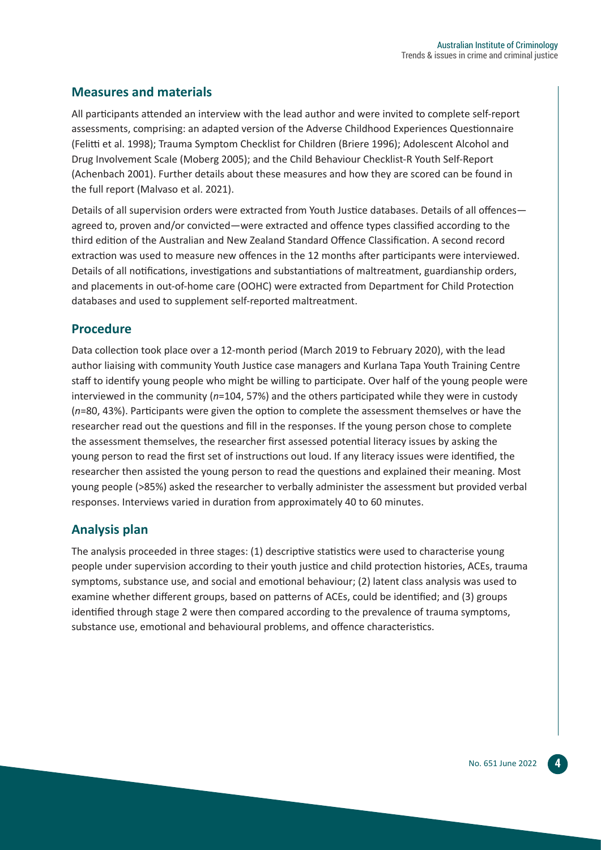#### **Measures and materials**

All participants attended an interview with the lead author and were invited to complete self-report assessments, comprising: an adapted version of the Adverse Childhood Experiences Questionnaire (Felitti et al. 1998); Trauma Symptom Checklist for Children (Briere 1996); Adolescent Alcohol and Drug Involvement Scale (Moberg 2005); and the Child Behaviour Checklist-R Youth Self-Report (Achenbach 2001). Further details about these measures and how they are scored can be found in the full report (Malvaso et al. 2021).

Details of all supervision orders were extracted from Youth Justice databases. Details of all offences agreed to, proven and/or convicted—were extracted and offence types classified according to the third edition of the Australian and New Zealand Standard Offence Classification. A second record extraction was used to measure new offences in the 12 months after participants were interviewed. Details of all notifications, investigations and substantiations of maltreatment, guardianship orders, and placements in out-of-home care (OOHC) were extracted from Department for Child Protection databases and used to supplement self-reported maltreatment.

#### **Procedure**

Data collection took place over a 12-month period (March 2019 to February 2020), with the lead author liaising with community Youth Justice case managers and Kurlana Tapa Youth Training Centre staff to identify young people who might be willing to participate. Over half of the young people were interviewed in the community (*n*=104, 57%) and the others participated while they were in custody (*n*=80, 43%). Participants were given the option to complete the assessment themselves or have the researcher read out the questions and fill in the responses. If the young person chose to complete the assessment themselves, the researcher first assessed potential literacy issues by asking the young person to read the first set of instructions out loud. If any literacy issues were identified, the researcher then assisted the young person to read the questions and explained their meaning. Most young people (>85%) asked the researcher to verbally administer the assessment but provided verbal responses. Interviews varied in duration from approximately 40 to 60 minutes.

#### **Analysis plan**

The analysis proceeded in three stages: (1) descriptive statistics were used to characterise young people under supervision according to their youth justice and child protection histories, ACEs, trauma symptoms, substance use, and social and emotional behaviour; (2) latent class analysis was used to examine whether different groups, based on patterns of ACEs, could be identified; and (3) groups identified through stage 2 were then compared according to the prevalence of trauma symptoms, substance use, emotional and behavioural problems, and offence characteristics.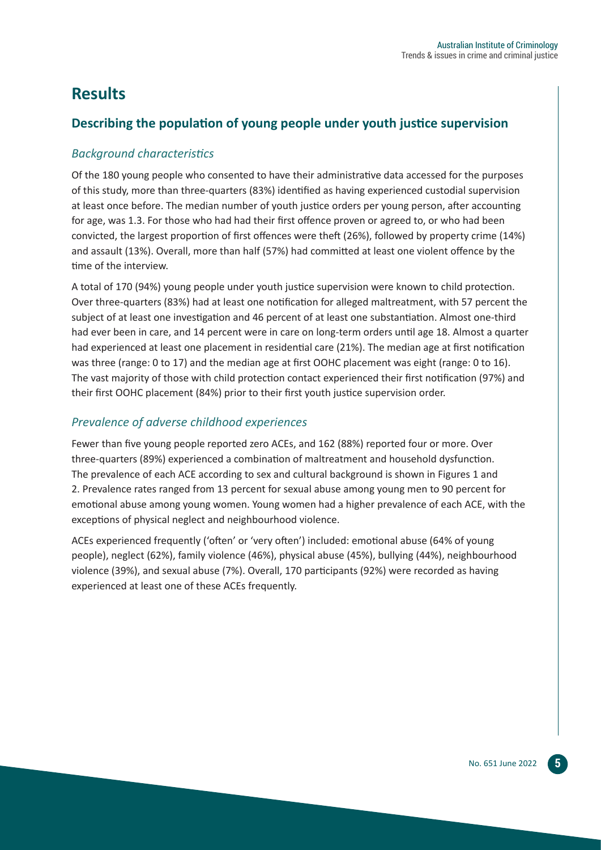# **Results**

#### **Describing the population of young people under youth justice supervision**

#### *Background characteristics*

Of the 180 young people who consented to have their administrative data accessed for the purposes of this study, more than three-quarters (83%) identified as having experienced custodial supervision at least once before. The median number of youth justice orders per young person, after accounting for age, was 1.3. For those who had had their first offence proven or agreed to, or who had been convicted, the largest proportion of first offences were theft (26%), followed by property crime (14%) and assault (13%). Overall, more than half (57%) had committed at least one violent offence by the time of the interview.

A total of 170 (94%) young people under youth justice supervision were known to child protection. Over three-quarters (83%) had at least one notification for alleged maltreatment, with 57 percent the subject of at least one investigation and 46 percent of at least one substantiation. Almost one-third had ever been in care, and 14 percent were in care on long-term orders until age 18. Almost a quarter had experienced at least one placement in residential care (21%). The median age at first notification was three (range: 0 to 17) and the median age at first OOHC placement was eight (range: 0 to 16). The vast majority of those with child protection contact experienced their first notification (97%) and their first OOHC placement (84%) prior to their first youth justice supervision order.

#### *Prevalence of adverse childhood experiences*

Fewer than five young people reported zero ACEs, and 162 (88%) reported four or more. Over three-quarters (89%) experienced a combination of maltreatment and household dysfunction. The prevalence of each ACE according to sex and cultural background is shown in Figures 1 and 2. Prevalence rates ranged from 13 percent for sexual abuse among young men to 90 percent for emotional abuse among young women. Young women had a higher prevalence of each ACE, with the exceptions of physical neglect and neighbourhood violence.

ACEs experienced frequently ('often' or 'very often') included: emotional abuse (64% of young people), neglect (62%), family violence (46%), physical abuse (45%), bullying (44%), neighbourhood violence (39%), and sexual abuse (7%). Overall, 170 participants (92%) were recorded as having experienced at least one of these ACEs frequently.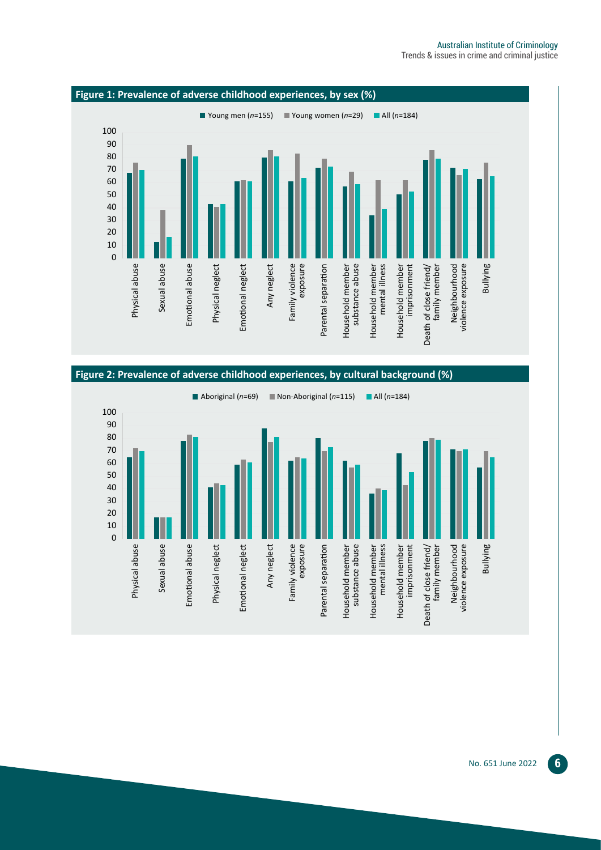#### Trends & issues in crime and criminal justice Australian Institute of Criminology



#### **Figure 2: Prevalence of adverse childhood experiences, by cultural background (%)**

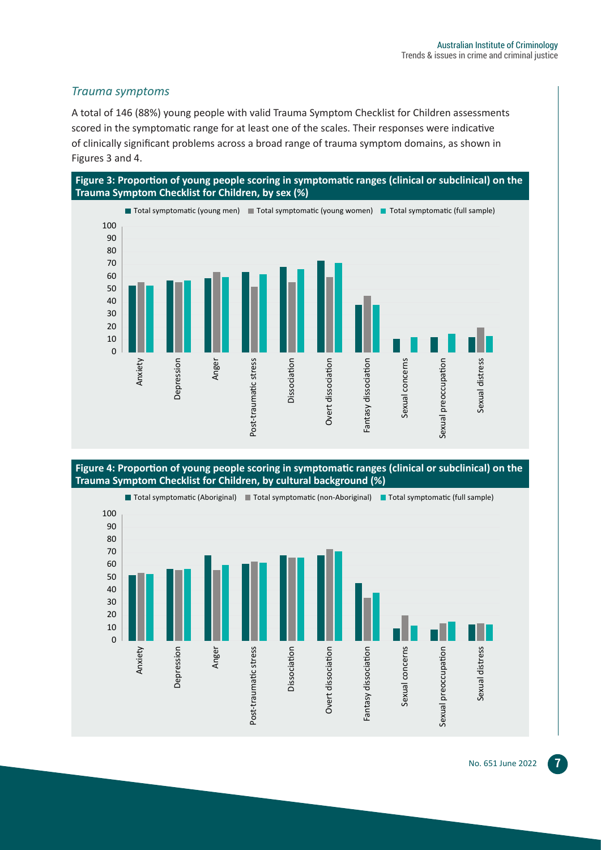#### *Trauma symptoms*

A total of 146 (88%) young people with valid Trauma Symptom Checklist for Children assessments scored in the symptomatic range for at least one of the scales. Their responses were indicative of clinically significant problems across a broad range of trauma symptom domains, as shown in Figures 3 and 4.





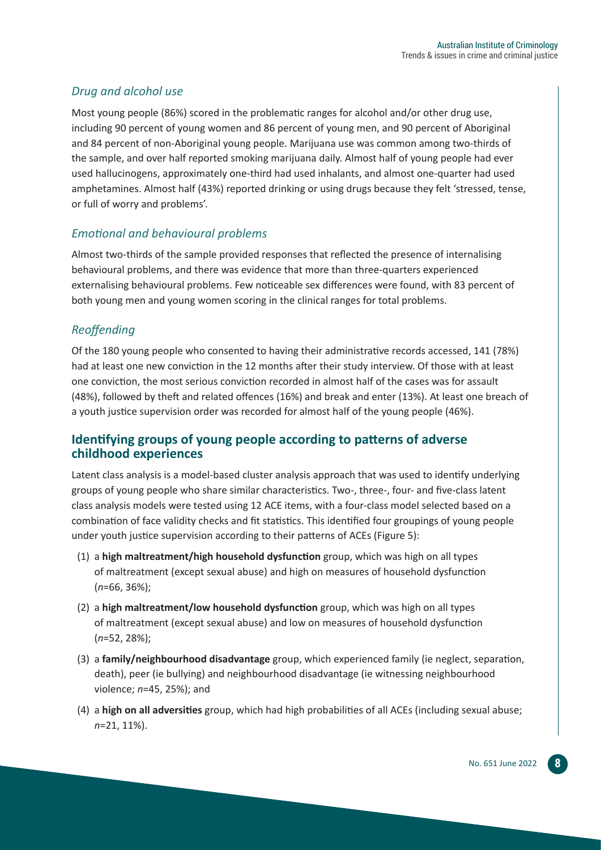#### *Drug and alcohol use*

Most young people (86%) scored in the problematic ranges for alcohol and/or other drug use, including 90 percent of young women and 86 percent of young men, and 90 percent of Aboriginal and 84 percent of non-Aboriginal young people. Marijuana use was common among two-thirds of the sample, and over half reported smoking marijuana daily. Almost half of young people had ever used hallucinogens, approximately one-third had used inhalants, and almost one-quarter had used amphetamines. Almost half (43%) reported drinking or using drugs because they felt 'stressed, tense, or full of worry and problems'.

#### *Emotional and behavioural problems*

Almost two-thirds of the sample provided responses that reflected the presence of internalising behavioural problems, and there was evidence that more than three-quarters experienced externalising behavioural problems. Few noticeable sex differences were found, with 83 percent of both young men and young women scoring in the clinical ranges for total problems.

#### *Reoffending*

Of the 180 young people who consented to having their administrative records accessed, 141 (78%) had at least one new conviction in the 12 months after their study interview. Of those with at least one conviction, the most serious conviction recorded in almost half of the cases was for assault (48%), followed by theft and related offences (16%) and break and enter (13%). At least one breach of a youth justice supervision order was recorded for almost half of the young people (46%).

#### **Identifying groups of young people according to patterns of adverse childhood experiences**

Latent class analysis is a model-based cluster analysis approach that was used to identify underlying groups of young people who share similar characteristics. Two-, three-, four- and five-class latent class analysis models were tested using 12 ACE items, with a four-class model selected based on a combination of face validity checks and fit statistics. This identified four groupings of young people under youth justice supervision according to their patterns of ACEs (Figure 5):

- (1) a **high maltreatment/high household dysfunction** group, which was high on all types of maltreatment (except sexual abuse) and high on measures of household dysfunction (*n*=66, 36%);
- (2) a **high maltreatment/low household dysfunction** group, which was high on all types of maltreatment (except sexual abuse) and low on measures of household dysfunction (*n*=52, 28%);
- (3) a **family/neighbourhood disadvantage** group, which experienced family (ie neglect, separation, death), peer (ie bullying) and neighbourhood disadvantage (ie witnessing neighbourhood violence; *n*=45, 25%); and
- (4) a **high on all adversities** group, which had high probabilities of all ACEs (including sexual abuse; *n*=21, 11%).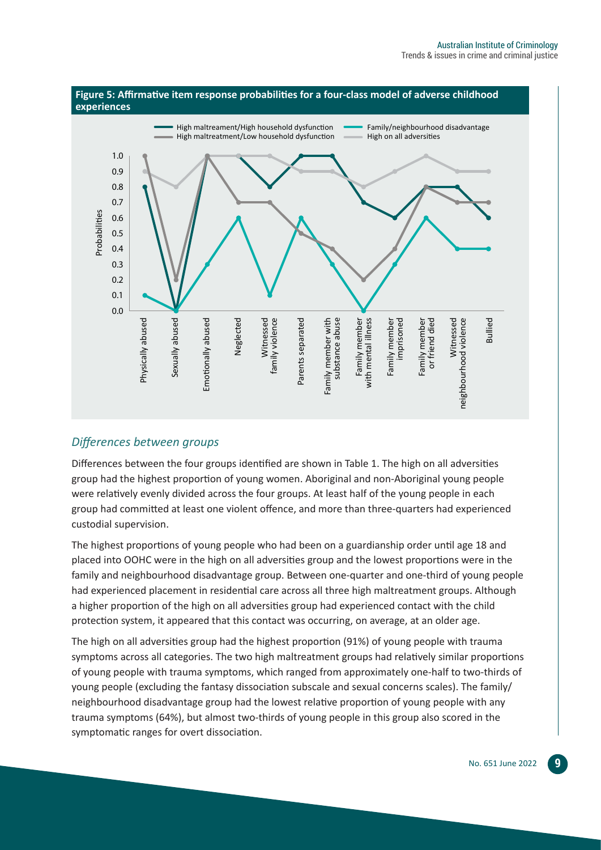

#### *Differences between groups*

Differences between the four groups identified are shown in Table 1. The high on all adversities group had the highest proportion of young women. Aboriginal and non-Aboriginal young people were relatively evenly divided across the four groups. At least half of the young people in each group had committed at least one violent offence, and more than three-quarters had experienced custodial supervision.

The highest proportions of young people who had been on a guardianship order until age 18 and placed into OOHC were in the high on all adversities group and the lowest proportions were in the family and neighbourhood disadvantage group. Between one-quarter and one-third of young people had experienced placement in residential care across all three high maltreatment groups. Although a higher proportion of the high on all adversities group had experienced contact with the child protection system, it appeared that this contact was occurring, on average, at an older age.

The high on all adversities group had the highest proportion (91%) of young people with trauma symptoms across all categories. The two high maltreatment groups had relatively similar proportions of young people with trauma symptoms, which ranged from approximately one-half to two-thirds of young people (excluding the fantasy dissociation subscale and sexual concerns scales). The family/ neighbourhood disadvantage group had the lowest relative proportion of young people with any trauma symptoms (64%), but almost two-thirds of young people in this group also scored in the symptomatic ranges for overt dissociation.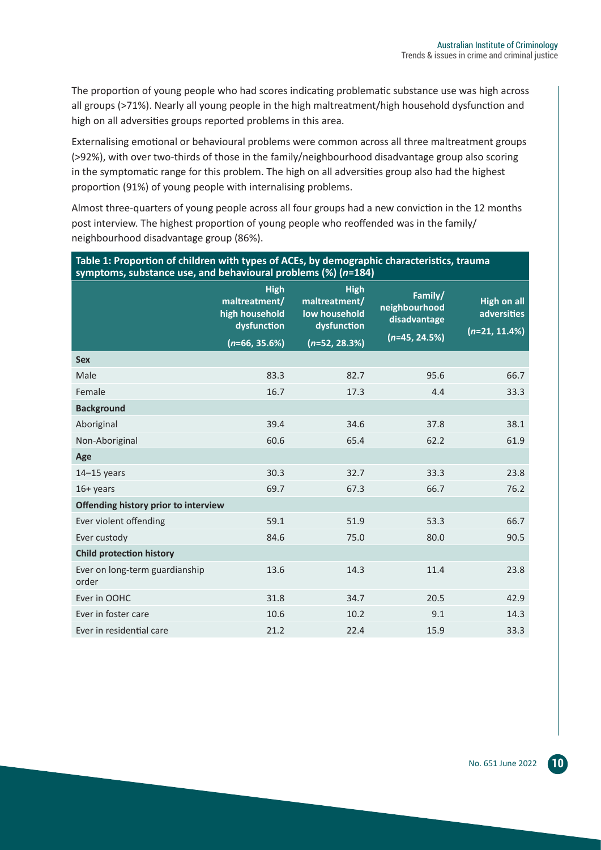The proportion of young people who had scores indicating problematic substance use was high across all groups (>71%). Nearly all young people in the high maltreatment/high household dysfunction and high on all adversities groups reported problems in this area.

Externalising emotional or behavioural problems were common across all three maltreatment groups (>92%), with over two-thirds of those in the family/neighbourhood disadvantage group also scoring in the symptomatic range for this problem. The high on all adversities group also had the highest proportion (91%) of young people with internalising problems.

Almost three-quarters of young people across all four groups had a new conviction in the 12 months post interview. The highest proportion of young people who reoffended was in the family/ neighbourhood disadvantage group (86%).

| Table 1: Proportion of children with types of ACEs, by demographic characteristics, trauma<br>symptoms, substance use, and behavioural problems $(\%)$ ( $n=184$ ) |                                                               |                                                              |                                          |                                          |  |  |
|--------------------------------------------------------------------------------------------------------------------------------------------------------------------|---------------------------------------------------------------|--------------------------------------------------------------|------------------------------------------|------------------------------------------|--|--|
|                                                                                                                                                                    | <b>High</b><br>maltreatment/<br>high household<br>dysfunction | <b>High</b><br>maltreatment/<br>low household<br>dysfunction | Family/<br>neighbourhood<br>disadvantage | <b>High on all</b><br><b>adversities</b> |  |  |
|                                                                                                                                                                    | $(n=66, 35.6%)$                                               | $(n=52, 28.3%)$                                              | $(n=45, 24.5%)$                          | $(n=21, 11.4\%)$                         |  |  |
| <b>Sex</b>                                                                                                                                                         |                                                               |                                                              |                                          |                                          |  |  |
| Male                                                                                                                                                               | 83.3                                                          | 82.7                                                         | 95.6                                     | 66.7                                     |  |  |
| Female                                                                                                                                                             | 16.7                                                          | 17.3                                                         | 4.4                                      | 33.3                                     |  |  |
| <b>Background</b>                                                                                                                                                  |                                                               |                                                              |                                          |                                          |  |  |
| Aboriginal                                                                                                                                                         | 39.4                                                          | 34.6                                                         | 37.8                                     | 38.1                                     |  |  |
| Non-Aboriginal                                                                                                                                                     | 60.6                                                          | 65.4                                                         | 62.2                                     | 61.9                                     |  |  |
| Age                                                                                                                                                                |                                                               |                                                              |                                          |                                          |  |  |
| $14-15$ years                                                                                                                                                      | 30.3                                                          | 32.7                                                         | 33.3                                     | 23.8                                     |  |  |
| $16+$ years                                                                                                                                                        | 69.7                                                          | 67.3                                                         | 66.7                                     | 76.2                                     |  |  |
| Offending history prior to interview                                                                                                                               |                                                               |                                                              |                                          |                                          |  |  |
| Ever violent offending                                                                                                                                             | 59.1                                                          | 51.9                                                         | 53.3                                     | 66.7                                     |  |  |
| Ever custody                                                                                                                                                       | 84.6                                                          | 75.0                                                         | 80.0                                     | 90.5                                     |  |  |
| <b>Child protection history</b>                                                                                                                                    |                                                               |                                                              |                                          |                                          |  |  |
| Ever on long-term guardianship<br>order                                                                                                                            | 13.6                                                          | 14.3                                                         | 11.4                                     | 23.8                                     |  |  |
| Ever in OOHC                                                                                                                                                       | 31.8                                                          | 34.7                                                         | 20.5                                     | 42.9                                     |  |  |
| Ever in foster care                                                                                                                                                | 10.6                                                          | 10.2                                                         | 9.1                                      | 14.3                                     |  |  |
| Ever in residential care                                                                                                                                           | 21.2                                                          | 22.4                                                         | 15.9                                     | 33.3                                     |  |  |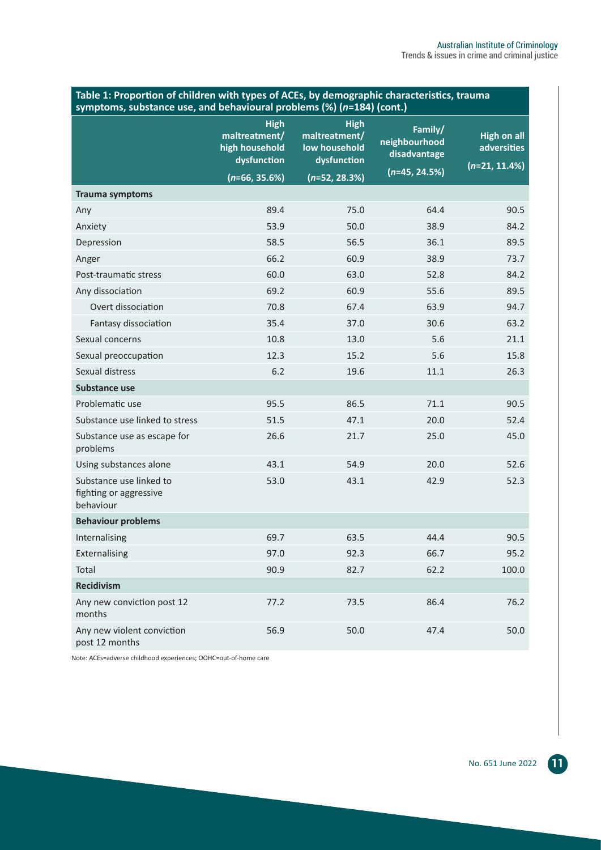| Table 1: Proportion of children with types of ACEs, by demographic characteristics, trauma |
|--------------------------------------------------------------------------------------------|
| symptoms, substance use, and behavioural problems $\frac{m}{2}$ (n=184) (cont.)            |

|                                                                | <b>High</b><br>maltreatment/<br>high household<br>dysfunction | <b>High</b><br>maltreatment/<br>low household<br>dysfunction | Family/<br>neighbourhood<br>disadvantage | <b>High on all</b><br><b>adversities</b><br>$(n=21, 11.4\%)$ |
|----------------------------------------------------------------|---------------------------------------------------------------|--------------------------------------------------------------|------------------------------------------|--------------------------------------------------------------|
|                                                                | $(n=66, 35.6%)$                                               | $(n=52, 28.3%)$                                              | $(n=45, 24.5%)$                          |                                                              |
| <b>Trauma symptoms</b>                                         |                                                               |                                                              |                                          |                                                              |
| Any                                                            | 89.4                                                          | 75.0                                                         | 64.4                                     | 90.5                                                         |
| Anxiety                                                        | 53.9                                                          | 50.0                                                         | 38.9                                     | 84.2                                                         |
| Depression                                                     | 58.5                                                          | 56.5                                                         | 36.1                                     | 89.5                                                         |
| Anger                                                          | 66.2                                                          | 60.9                                                         | 38.9                                     | 73.7                                                         |
| Post-traumatic stress                                          | 60.0                                                          | 63.0                                                         | 52.8                                     | 84.2                                                         |
| Any dissociation                                               | 69.2                                                          | 60.9                                                         | 55.6                                     | 89.5                                                         |
| Overt dissociation                                             | 70.8                                                          | 67.4                                                         | 63.9                                     | 94.7                                                         |
| Fantasy dissociation                                           | 35.4                                                          | 37.0                                                         | 30.6                                     | 63.2                                                         |
| Sexual concerns                                                | 10.8                                                          | 13.0                                                         | 5.6                                      | 21.1                                                         |
| Sexual preoccupation                                           | 12.3                                                          | 15.2                                                         | 5.6                                      | 15.8                                                         |
| Sexual distress                                                | 6.2                                                           | 19.6                                                         | 11.1                                     | 26.3                                                         |
| Substance use                                                  |                                                               |                                                              |                                          |                                                              |
| Problematic use                                                | 95.5                                                          | 86.5                                                         | 71.1                                     | 90.5                                                         |
| Substance use linked to stress                                 | 51.5                                                          | 47.1                                                         | 20.0                                     | 52.4                                                         |
| Substance use as escape for<br>problems                        | 26.6                                                          | 21.7                                                         | 25.0                                     | 45.0                                                         |
| Using substances alone                                         | 43.1                                                          | 54.9                                                         | 20.0                                     | 52.6                                                         |
| Substance use linked to<br>fighting or aggressive<br>behaviour | 53.0                                                          | 43.1                                                         | 42.9                                     | 52.3                                                         |
| <b>Behaviour problems</b>                                      |                                                               |                                                              |                                          |                                                              |
| Internalising                                                  | 69.7                                                          | 63.5                                                         | 44.4                                     | 90.5                                                         |
| Externalising                                                  | 97.0                                                          | 92.3                                                         | 66.7                                     | 95.2                                                         |
| Total                                                          | 90.9                                                          | 82.7                                                         | 62.2                                     | 100.0                                                        |
| Recidivism                                                     |                                                               |                                                              |                                          |                                                              |
| Any new conviction post 12<br>months                           | 77.2                                                          | 73.5                                                         | 86.4                                     | 76.2                                                         |
| Any new violent conviction<br>post 12 months                   | 56.9                                                          | $50.0$                                                       | 47.4                                     | 50.0                                                         |

Note: ACEs=adverse childhood experiences; OOHC=out-of-home care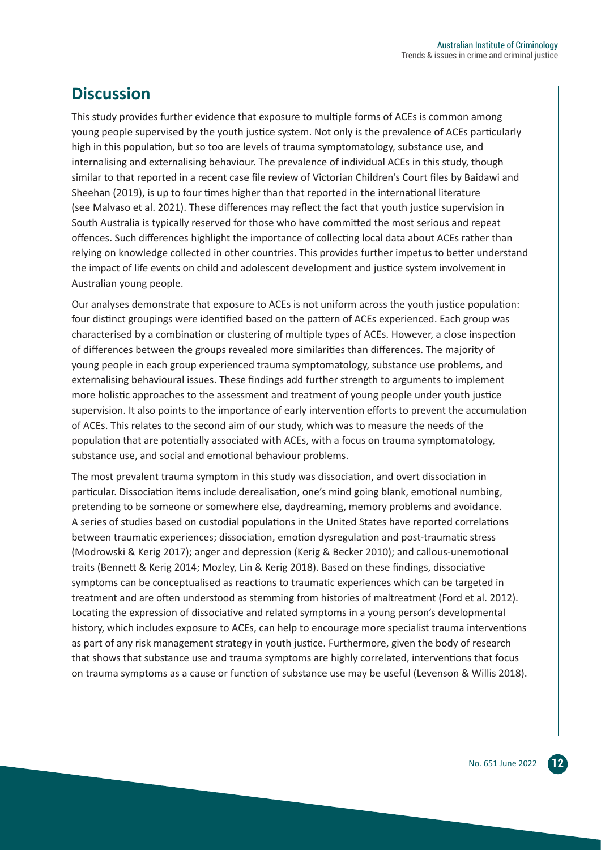# **Discussion**

This study provides further evidence that exposure to multiple forms of ACEs is common among young people supervised by the youth justice system. Not only is the prevalence of ACEs particularly high in this population, but so too are levels of trauma symptomatology, substance use, and internalising and externalising behaviour. The prevalence of individual ACEs in this study, though similar to that reported in a recent case file review of Victorian Children's Court files by Baidawi and Sheehan (2019), is up to four times higher than that reported in the international literature (see Malvaso et al. 2021). These differences may reflect the fact that youth justice supervision in South Australia is typically reserved for those who have committed the most serious and repeat offences. Such differences highlight the importance of collecting local data about ACEs rather than relying on knowledge collected in other countries. This provides further impetus to better understand the impact of life events on child and adolescent development and justice system involvement in Australian young people.

Our analyses demonstrate that exposure to ACEs is not uniform across the youth justice population: four distinct groupings were identified based on the pattern of ACEs experienced. Each group was characterised by a combination or clustering of multiple types of ACEs. However, a close inspection of differences between the groups revealed more similarities than differences. The majority of young people in each group experienced trauma symptomatology, substance use problems, and externalising behavioural issues. These findings add further strength to arguments to implement more holistic approaches to the assessment and treatment of young people under youth justice supervision. It also points to the importance of early intervention efforts to prevent the accumulation of ACEs. This relates to the second aim of our study, which was to measure the needs of the population that are potentially associated with ACEs, with a focus on trauma symptomatology, substance use, and social and emotional behaviour problems.

The most prevalent trauma symptom in this study was dissociation, and overt dissociation in particular. Dissociation items include derealisation, one's mind going blank, emotional numbing, pretending to be someone or somewhere else, daydreaming, memory problems and avoidance. A series of studies based on custodial populations in the United States have reported correlations between traumatic experiences; dissociation, emotion dysregulation and post-traumatic stress (Modrowski & Kerig 2017); anger and depression (Kerig & Becker 2010); and callous-unemotional traits (Bennett & Kerig 2014; Mozley, Lin & Kerig 2018). Based on these findings, dissociative symptoms can be conceptualised as reactions to traumatic experiences which can be targeted in treatment and are often understood as stemming from histories of maltreatment (Ford et al. 2012). Locating the expression of dissociative and related symptoms in a young person's developmental history, which includes exposure to ACEs, can help to encourage more specialist trauma interventions as part of any risk management strategy in youth justice. Furthermore, given the body of research that shows that substance use and trauma symptoms are highly correlated, interventions that focus on trauma symptoms as a cause or function of substance use may be useful (Levenson & Willis 2018).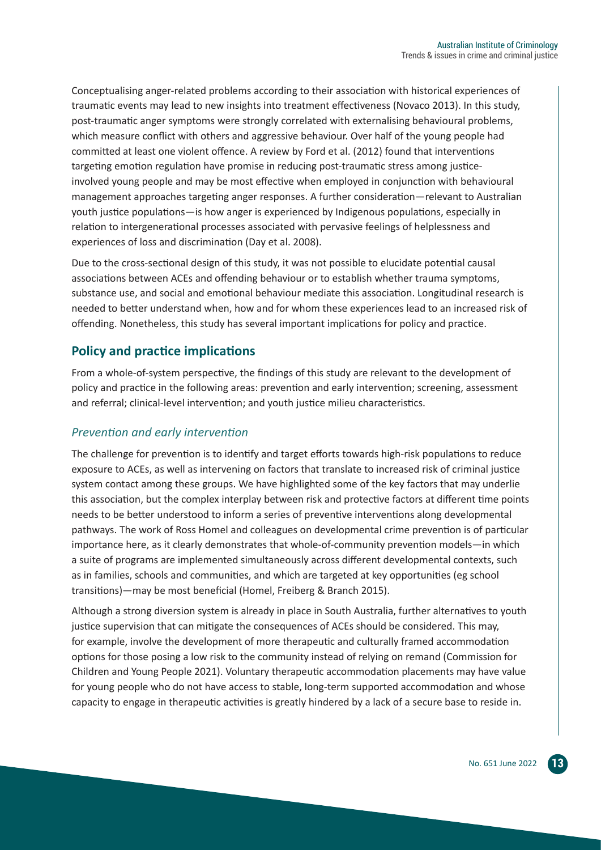Conceptualising anger-related problems according to their association with historical experiences of traumatic events may lead to new insights into treatment effectiveness (Novaco 2013). In this study, post-traumatic anger symptoms were strongly correlated with externalising behavioural problems, which measure conflict with others and aggressive behaviour. Over half of the young people had committed at least one violent offence. A review by Ford et al. (2012) found that interventions targeting emotion regulation have promise in reducing post-traumatic stress among justiceinvolved young people and may be most effective when employed in conjunction with behavioural management approaches targeting anger responses. A further consideration—relevant to Australian youth justice populations—is how anger is experienced by Indigenous populations, especially in relation to intergenerational processes associated with pervasive feelings of helplessness and experiences of loss and discrimination (Day et al. 2008).

Due to the cross-sectional design of this study, it was not possible to elucidate potential causal associations between ACEs and offending behaviour or to establish whether trauma symptoms, substance use, and social and emotional behaviour mediate this association. Longitudinal research is needed to better understand when, how and for whom these experiences lead to an increased risk of offending. Nonetheless, this study has several important implications for policy and practice.

#### **Policy and practice implications**

From a whole-of-system perspective, the findings of this study are relevant to the development of policy and practice in the following areas: prevention and early intervention; screening, assessment and referral; clinical-level intervention; and youth justice milieu characteristics.

#### *Prevention and early intervention*

The challenge for prevention is to identify and target efforts towards high-risk populations to reduce exposure to ACEs, as well as intervening on factors that translate to increased risk of criminal justice system contact among these groups. We have highlighted some of the key factors that may underlie this association, but the complex interplay between risk and protective factors at different time points needs to be better understood to inform a series of preventive interventions along developmental pathways. The work of Ross Homel and colleagues on developmental crime prevention is of particular importance here, as it clearly demonstrates that whole-of-community prevention models—in which a suite of programs are implemented simultaneously across different developmental contexts, such as in families, schools and communities, and which are targeted at key opportunities (eg school transitions)—may be most beneficial (Homel, Freiberg & Branch 2015).

Although a strong diversion system is already in place in South Australia, further alternatives to youth justice supervision that can mitigate the consequences of ACEs should be considered. This may, for example, involve the development of more therapeutic and culturally framed accommodation options for those posing a low risk to the community instead of relying on remand (Commission for Children and Young People 2021). Voluntary therapeutic accommodation placements may have value for young people who do not have access to stable, long-term supported accommodation and whose capacity to engage in therapeutic activities is greatly hindered by a lack of a secure base to reside in.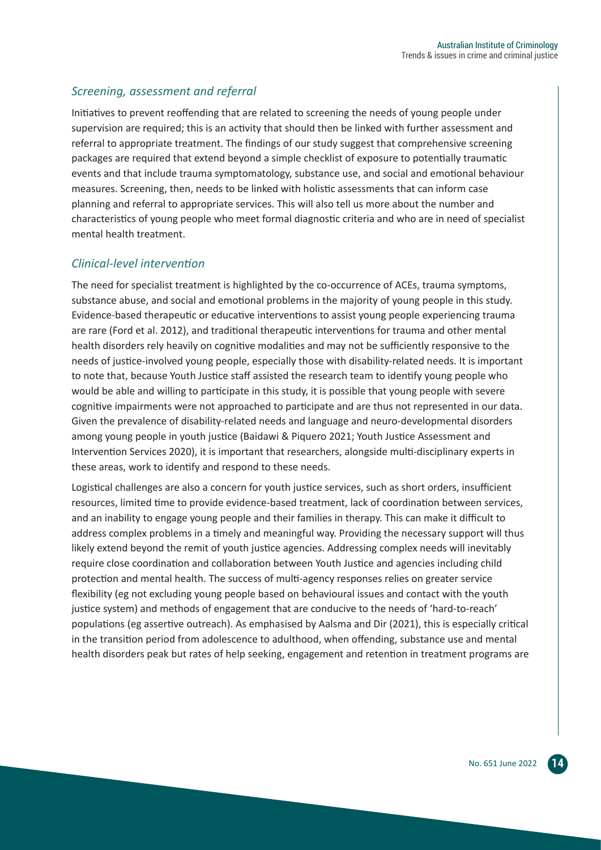#### *Screening, assessment and referral*

Initiatives to prevent reoffending that are related to screening the needs of young people under supervision are required; this is an activity that should then be linked with further assessment and referral to appropriate treatment. The findings of our study suggest that comprehensive screening packages are required that extend beyond a simple checklist of exposure to potentially traumatic events and that include trauma symptomatology, substance use, and social and emotional behaviour measures. Screening, then, needs to be linked with holistic assessments that can inform case planning and referral to appropriate services. This will also tell us more about the number and characteristics of young people who meet formal diagnostic criteria and who are in need of specialist mental health treatment.

#### *Clinical-level intervention*

The need for specialist treatment is highlighted by the co-occurrence of ACEs, trauma symptoms, substance abuse, and social and emotional problems in the majority of young people in this study. Evidence-based therapeutic or educative interventions to assist young people experiencing trauma are rare (Ford et al. 2012), and traditional therapeutic interventions for trauma and other mental health disorders rely heavily on cognitive modalities and may not be sufficiently responsive to the needs of justice-involved young people, especially those with disability-related needs. It is important to note that, because Youth Justice staff assisted the research team to identify young people who would be able and willing to participate in this study, it is possible that young people with severe cognitive impairments were not approached to participate and are thus not represented in our data. Given the prevalence of disability-related needs and language and neuro-developmental disorders among young people in youth justice (Baidawi & Piquero 2021; Youth Justice Assessment and Intervention Services 2020), it is important that researchers, alongside multi-disciplinary experts in these areas, work to identify and respond to these needs.

Logistical challenges are also a concern for youth justice services, such as short orders, insufficient resources, limited time to provide evidence-based treatment, lack of coordination between services, and an inability to engage young people and their families in therapy. This can make it difficult to address complex problems in a timely and meaningful way. Providing the necessary support will thus likely extend beyond the remit of youth justice agencies. Addressing complex needs will inevitably require close coordination and collaboration between Youth Justice and agencies including child protection and mental health. The success of multi-agency responses relies on greater service flexibility (eg not excluding young people based on behavioural issues and contact with the youth justice system) and methods of engagement that are conducive to the needs of 'hard-to-reach' populations (eg assertive outreach). As emphasised by Aalsma and Dir (2021), this is especially critical in the transition period from adolescence to adulthood, when offending, substance use and mental health disorders peak but rates of help seeking, engagement and retention in treatment programs are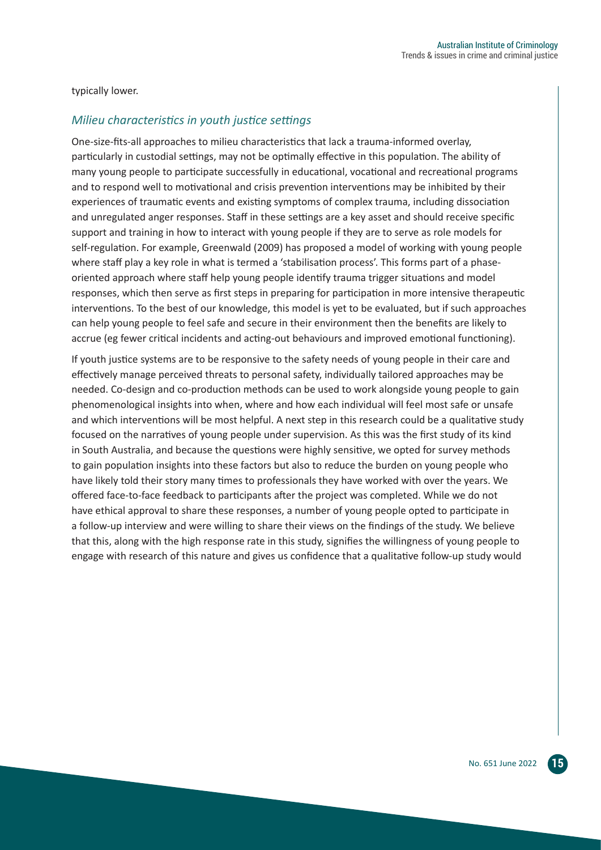#### typically lower.

#### *Milieu characteristics in youth justice settings*

One-size-fits-all approaches to milieu characteristics that lack a trauma-informed overlay, particularly in custodial settings, may not be optimally effective in this population. The ability of many young people to participate successfully in educational, vocational and recreational programs and to respond well to motivational and crisis prevention interventions may be inhibited by their experiences of traumatic events and existing symptoms of complex trauma, including dissociation and unregulated anger responses. Staff in these settings are a key asset and should receive specific support and training in how to interact with young people if they are to serve as role models for self-regulation. For example, Greenwald (2009) has proposed a model of working with young people where staff play a key role in what is termed a 'stabilisation process'. This forms part of a phaseoriented approach where staff help young people identify trauma trigger situations and model responses, which then serve as first steps in preparing for participation in more intensive therapeutic interventions. To the best of our knowledge, this model is yet to be evaluated, but if such approaches can help young people to feel safe and secure in their environment then the benefits are likely to accrue (eg fewer critical incidents and acting-out behaviours and improved emotional functioning).

If youth justice systems are to be responsive to the safety needs of young people in their care and effectively manage perceived threats to personal safety, individually tailored approaches may be needed. Co-design and co-production methods can be used to work alongside young people to gain phenomenological insights into when, where and how each individual will feel most safe or unsafe and which interventions will be most helpful. A next step in this research could be a qualitative study focused on the narratives of young people under supervision. As this was the first study of its kind in South Australia, and because the questions were highly sensitive, we opted for survey methods to gain population insights into these factors but also to reduce the burden on young people who have likely told their story many times to professionals they have worked with over the years. We offered face-to-face feedback to participants after the project was completed. While we do not have ethical approval to share these responses, a number of young people opted to participate in a follow-up interview and were willing to share their views on the findings of the study. We believe that this, along with the high response rate in this study, signifies the willingness of young people to engage with research of this nature and gives us confidence that a qualitative follow-up study would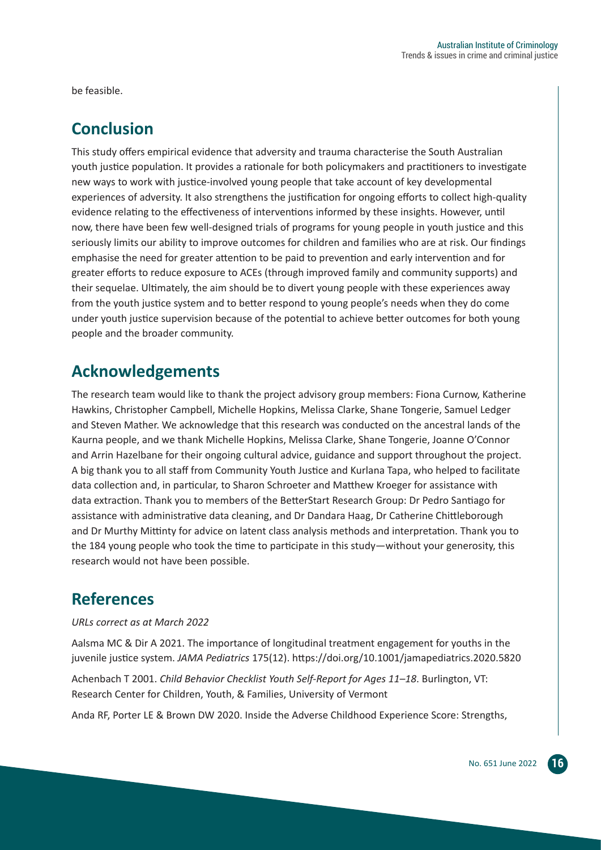be feasible.

# **Conclusion**

This study offers empirical evidence that adversity and trauma characterise the South Australian youth justice population. It provides a rationale for both policymakers and practitioners to investigate new ways to work with justice-involved young people that take account of key developmental experiences of adversity. It also strengthens the justification for ongoing efforts to collect high-quality evidence relating to the effectiveness of interventions informed by these insights. However, until now, there have been few well-designed trials of programs for young people in youth justice and this seriously limits our ability to improve outcomes for children and families who are at risk. Our findings emphasise the need for greater attention to be paid to prevention and early intervention and for greater efforts to reduce exposure to ACEs (through improved family and community supports) and their sequelae. Ultimately, the aim should be to divert young people with these experiences away from the youth justice system and to better respond to young people's needs when they do come under youth justice supervision because of the potential to achieve better outcomes for both young people and the broader community.

# **Acknowledgements**

The research team would like to thank the project advisory group members: Fiona Curnow, Katherine Hawkins, Christopher Campbell, Michelle Hopkins, Melissa Clarke, Shane Tongerie, Samuel Ledger and Steven Mather. We acknowledge that this research was conducted on the ancestral lands of the Kaurna people, and we thank Michelle Hopkins, Melissa Clarke, Shane Tongerie, Joanne O'Connor and Arrin Hazelbane for their ongoing cultural advice, guidance and support throughout the project. A big thank you to all staff from Community Youth Justice and Kurlana Tapa, who helped to facilitate data collection and, in particular, to Sharon Schroeter and Matthew Kroeger for assistance with data extraction. Thank you to members of the BetterStart Research Group: Dr Pedro Santiago for assistance with administrative data cleaning, and Dr Dandara Haag, Dr Catherine Chittleborough and Dr Murthy Mittinty for advice on latent class analysis methods and interpretation. Thank you to the 184 young people who took the time to participate in this study—without your generosity, this research would not have been possible.

## **References**

#### *URLs correct as at March 2022*

Aalsma MC & Dir A 2021. The importance of longitudinal treatment engagement for youths in the juvenile justice system. *JAMA Pediatrics* 175(12). https://doi.org/10.1001/jamapediatrics.2020.5820

Achenbach T 2001. *Child Behavior Checklist Youth Self-Report for Ages 11–18*. Burlington, VT: Research Center for Children, Youth, & Families, University of Vermont

Anda RF, Porter LE & Brown DW 2020. Inside the Adverse Childhood Experience Score: Strengths,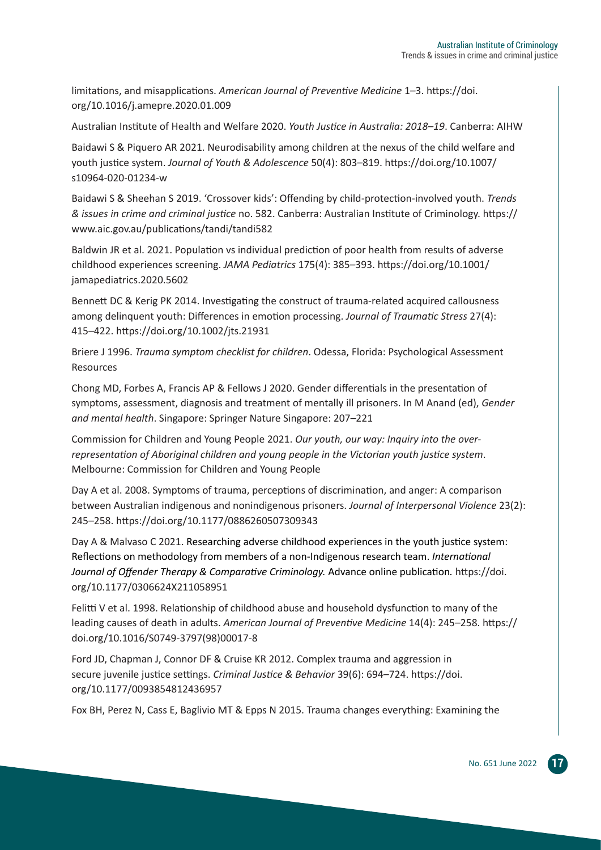limitations, and misapplications. *American Journal of Preventive Medicine* 1*–*3. https://doi. org/10.1016/j.amepre.2020.01.009

Australian Institute of Health and Welfare 2020. *Youth Justice in Australia: 2018–19*. Canberra: AIHW

Baidawi S & Piquero AR 2021. Neurodisability among children at the nexus of the child welfare and youth justice system. *Journal of Youth & Adolescence* 50(4): 803*–*819. https://doi.org/10.1007/ s10964-020-01234-w

Baidawi S & Sheehan S 2019. 'Crossover kids': Offending by child-protection-involved youth. *Trends & issues in crime and criminal justice* no. 582. Canberra: Australian Institute of Criminology. https:// www.aic.gov.au/publications/tandi/tandi582

Baldwin JR et al. 2021. Population vs individual prediction of poor health from results of adverse childhood experiences screening. *JAMA Pediatrics* 175(4): 385*–*393. https://doi.org/10.1001/ jamapediatrics.2020.5602

Bennett DC & Kerig PK 2014. Investigating the construct of trauma-related acquired callousness among delinquent youth: Differences in emotion processing. *Journal of Traumatic Stress* 27(4): 415*–*422. https://doi.org/10.1002/jts.21931

Briere J 1996. *Trauma symptom checklist for children*. Odessa, Florida: Psychological Assessment Resources

Chong MD, Forbes A, Francis AP & Fellows J 2020. Gender differentials in the presentation of symptoms, assessment, diagnosis and treatment of mentally ill prisoners. In M Anand (ed), *Gender and mental health*. Singapore: Springer Nature Singapore: 207*–*221

Commission for Children and Young People 2021. *Our youth, our way: Inquiry into the overrepresentation of Aboriginal children and young people in the Victorian youth justice system*. Melbourne: Commission for Children and Young People

Day A et al. 2008. Symptoms of trauma, perceptions of discrimination, and anger: A comparison between Australian indigenous and nonindigenous prisoners. *Journal of Interpersonal Violence* 23(2): 245*–*258. https://doi.org/10.1177/0886260507309343

Day A & Malvaso C 2021. Researching adverse childhood experiences in the youth justice system: Reflections on methodology from members of a non-Indigenous research team. *International Journal of Offender Therapy & Comparative Criminology.* Advance online publication*.* https://doi. org/10.1177/0306624X211058951

Felitti V et al. 1998. Relationship of childhood abuse and household dysfunction to many of the leading causes of death in adults. *American Journal of Preventive Medicine* 14(4): 245*–*258. https:// doi.org/10.1016/S0749-3797(98)00017-8

Ford JD, Chapman J, Connor DF & Cruise KR 2012. Complex trauma and aggression in secure juvenile justice settings. *Criminal Justice & Behavior* 39(6): 694*–*724. https://doi. org/10.1177/0093854812436957

Fox BH, Perez N, Cass E, Baglivio MT & Epps N 2015. Trauma changes everything: Examining the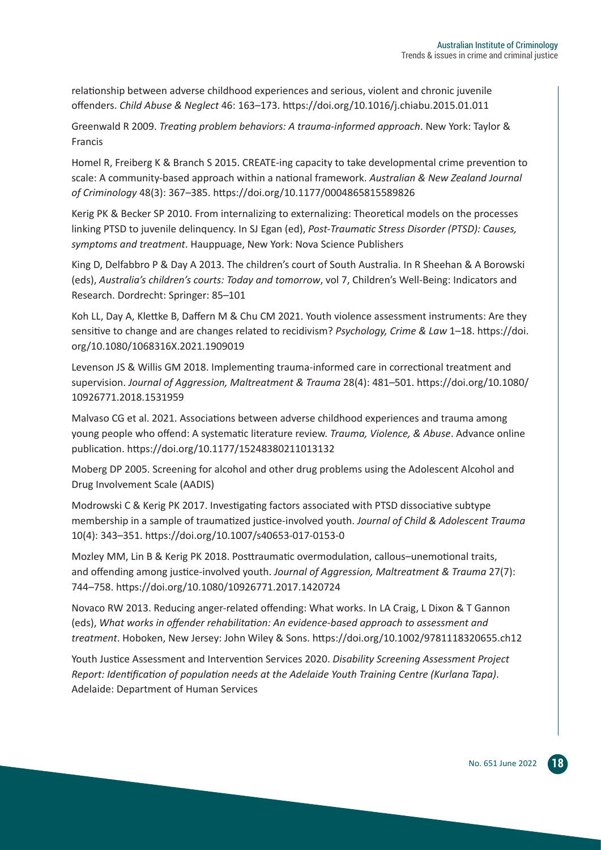relationship between adverse childhood experiences and serious, violent and chronic juvenile offenders. *Child Abuse & Neglect* 46: 163*–*173. https://doi.org/10.1016/j.chiabu.2015.01.011

Greenwald R 2009. *Treating problem behaviors: A trauma-informed approach*. New York: Taylor & Francis

Homel R, Freiberg K & Branch S 2015. CREATE-ing capacity to take developmental crime prevention to scale: A community-based approach within a national framework. *Australian & New Zealand Journal of Criminology* 48(3): 367*–*385. https://doi.org/10.1177/0004865815589826

Kerig PK & Becker SP 2010. From internalizing to externalizing: Theoretical models on the processes linking PTSD to juvenile delinquency. In SJ Egan (ed), *Post-Traumatic Stress Disorder (PTSD): Causes, symptoms and treatment*. Hauppuage, New York: Nova Science Publishers

King D, Delfabbro P & Day A 2013. The children's court of South Australia. In R Sheehan & A Borowski (eds), *Australia's children's courts: Today and tomorrow*, vol 7, Children's Well-Being: Indicators and Research. Dordrecht: Springer: 85*–*101

Koh LL, Day A, Klettke B, Daffern M & Chu CM 2021. Youth violence assessment instruments: Are they sensitive to change and are changes related to recidivism? *Psychology, Crime & Law* 1*–*18. https://doi. org/10.1080/1068316X.2021.1909019

Levenson JS & Willis GM 2018. Implementing trauma-informed care in correctional treatment and supervision. *Journal of Aggression, Maltreatment & Trauma* 28(4): 481*–*501. https://doi.org/10.1080/ 10926771.2018.1531959

Malvaso CG et al. 2021. Associations between adverse childhood experiences and trauma among young people who offend: A systematic literature review. *Trauma, Violence, & Abuse*. Advance online publication. https://doi.org/10.1177/15248380211013132

Moberg DP 2005. Screening for alcohol and other drug problems using the Adolescent Alcohol and Drug Involvement Scale (AADIS)

Modrowski C & Kerig PK 2017. Investigating factors associated with PTSD dissociative subtype membership in a sample of traumatized justice-involved youth. *Journal of Child & Adolescent Trauma*  10(4): 343*–*351. https://doi.org/10.1007/s40653-017-0153-0

Mozley MM, Lin B & Kerig PK 2018. Posttraumatic overmodulation, callous–unemotional traits, and offending among justice-involved youth. *Journal of Aggression, Maltreatment & Trauma* 27(7): 744*–*758. https://doi.org/10.1080/10926771.2017.1420724

Novaco RW 2013. Reducing anger-related offending: What works. In LA Craig, L Dixon & T Gannon (eds), *What works in offender rehabilitation: An evidence-based approach to assessment and treatment*. Hoboken, New Jersey: John Wiley & Sons. https://doi.org/10.1002/9781118320655.ch12

Youth Justice Assessment and Intervention Services 2020. *Disability Screening Assessment Project Report: Identification of population needs at the Adelaide Youth Training Centre (Kurlana Tapa)*. Adelaide: Department of Human Services